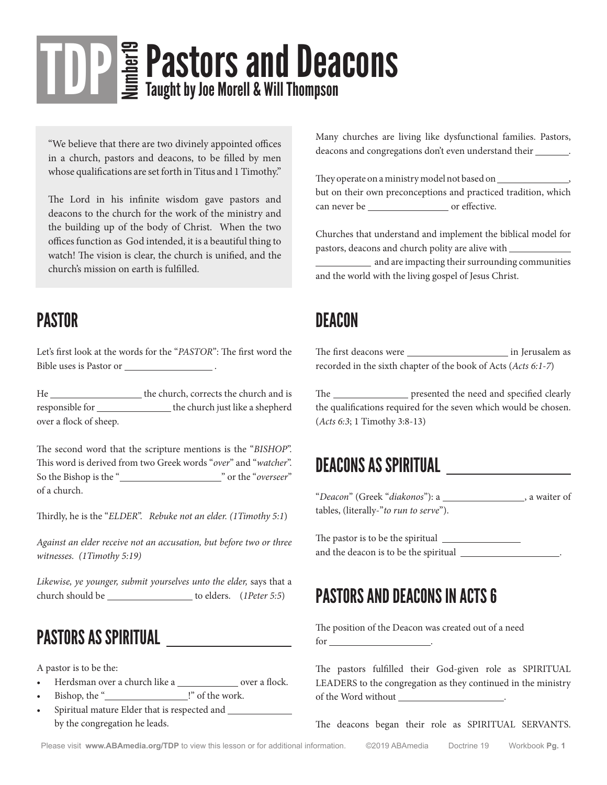# **TDP** E Pastors and Deacons Taught by Joe Morell & Will Thompson

"We believe that there are two divinely appointed offices in a church, pastors and deacons, to be filled by men whose qualifications are set forth in Titus and 1 Timothy."

The Lord in his infinite wisdom gave pastors and deacons to the church for the work of the ministry and the building up of the body of Christ. When the two offices function as God intended, it is a beautiful thing to watch! The vision is clear, the church is unified, and the church's mission on earth is fulfilled.

## PASTOR

Let's first look at the words for the "*PASTOR*": The first word the Bible uses is Pastor or .

He the church, corrects the church and is responsible for the church just like a shepherd over a flock of sheep.

The second word that the scripture mentions is the "*BISHOP*". This word is derived from two Greek words "*over*" and "*watcher*". So the Bishop is the " " or the "*overseer*" of a church.

Thirdly, he is the "*ELDER*". *Rebuke not an elder. (1Timothy 5:1*)

*Against an elder receive not an accusation, but before two or three witnesses. (1Timothy 5:19)*

*Likewise, ye younger, submit yourselves unto the elder,* says that a church should be \_\_\_\_\_\_\_\_\_\_\_\_\_\_\_\_\_\_\_\_ to elders. (*1Peter 5:5*)

## PASTORS AS SPIRITUAL

A pastor is to be the:

- Herdsman over a church like a \_\_\_\_\_\_\_\_\_\_\_\_\_\_ over a flock.
- Bishop, the " !" of the work.
- Spiritual mature Elder that is respected and by the congregation he leads.

Many churches are living like dysfunctional families. Pastors, deacons and congregations don't even understand their \_\_\_\_\_\_\_.

They operate on a ministry model not based on  $\_\_$ but on their own preconceptions and practiced tradition, which can never be or effective.

Churches that understand and implement the biblical model for pastors, deacons and church polity are alive with

**and are impacting their surrounding communities** and the world with the living gospel of Jesus Christ.

## **DEACON**

The first deacons were in Jerusalem as recorded in the sixth chapter of the book of Acts (*Acts 6:1-7*)

The \_\_\_\_\_\_\_\_\_\_\_\_\_\_\_\_ presented the need and specified clearly the qualifications required for the seven which would be chosen. (*Acts 6:3*; 1 Timothy 3:8-13)

## DEACONS AS SPIRITUAL

"Deacon" (Greek "diakonos"): a \_\_\_\_\_\_\_\_\_\_\_\_\_\_\_\_\_, a waiter of tables, (literally-"*to run to serve*").

The pastor is to be the spiritual and the deacon is to be the spiritual **wave of the spiritual** 

## PASTORS AND DEACONS IN ACTS 6

The position of the Deacon was created out of a need for .

The pastors fulfilled their God-given role as SPIRITUAL LEADERS to the congregation as they continued in the ministry of the Word without .

The deacons began their role as SPIRITUAL SERVANTS.

Please visit www.ABAmedia.org/TDP to view this lesson or for additional information. ©2019 ABAmedia Doctrine 19 Workbook Pq. 1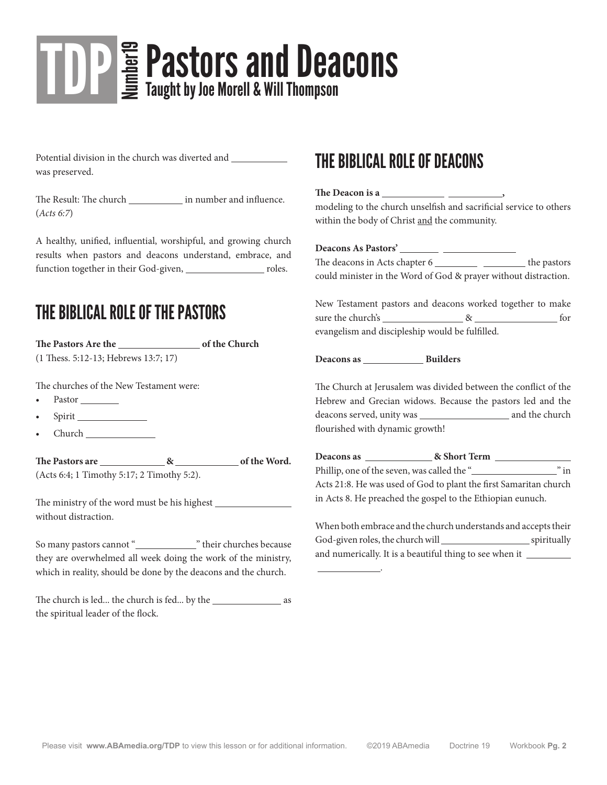# **TDP** E Pastors and Deacons Taught by Joe Morell & Will Thompson

Potential division in the church was diverted and \_\_\_\_\_\_\_\_\_\_\_\_\_\_\_\_\_\_\_\_\_\_\_\_\_\_\_\_\_\_\_ was preserved.

The Result: The church \_\_\_\_\_\_\_\_\_\_\_\_\_\_ in number and influence. (*Acts 6:7*)

A healthy, unified, influential, worshipful, and growing church results when pastors and deacons understand, embrace, and function together in their God-given, \_\_\_\_\_\_\_\_\_\_\_\_\_\_\_\_\_\_\_\_\_\_\_ roles.

## THE BIBLICAL ROLE OF THE PASTORS

The Pastors Are the **of the Church** (1 Thess. 5:12-13; Hebrews 13:7; 17)

The churches of the New Testament were:

- Pastor Pastor
- Spirit
- Church

**The Pastors are & of the Word.** (Acts 6:4; 1 Timothy 5:17; 2 Timothy 5:2).

The ministry of the word must be his highest without distraction.

So many pastors cannot " " their churches because they are overwhelmed all week doing the work of the ministry, which in reality, should be done by the deacons and the church.

The church is led... the church is fed... by the \_\_\_\_\_\_\_\_\_\_\_\_\_\_\_\_\_\_\_\_\_\_ as the spiritual leader of the flock.

## THE BIBLICAL ROLE OF DEACONS

#### **The Deacon is a ,**

modeling to the church unselfish and sacrificial service to others within the body of Christ and the community.

## **Deacons As Pastors'**

.

The deacons in Acts chapter 6 the pastors could minister in the Word of God & prayer without distraction.

New Testament pastors and deacons worked together to make sure the church's  $\&$  for evangelism and discipleship would be fulfilled.

#### **Deacons as Builders**

The Church at Jerusalem was divided between the conflict of the Hebrew and Grecian widows. Because the pastors led and the deacons served, unity was and the church flourished with dynamic growth!

**Deacons as & Short Term**  Phillip, one of the seven, was called the " " in Acts 21:8. He was used of God to plant the first Samaritan church in Acts 8. He preached the gospel to the Ethiopian eunuch.

| When both embrace and the church understands and accepts their |             |
|----------------------------------------------------------------|-------------|
| God-given roles, the church will                               | spiritually |
| and numerically. It is a beautiful thing to see when it        |             |